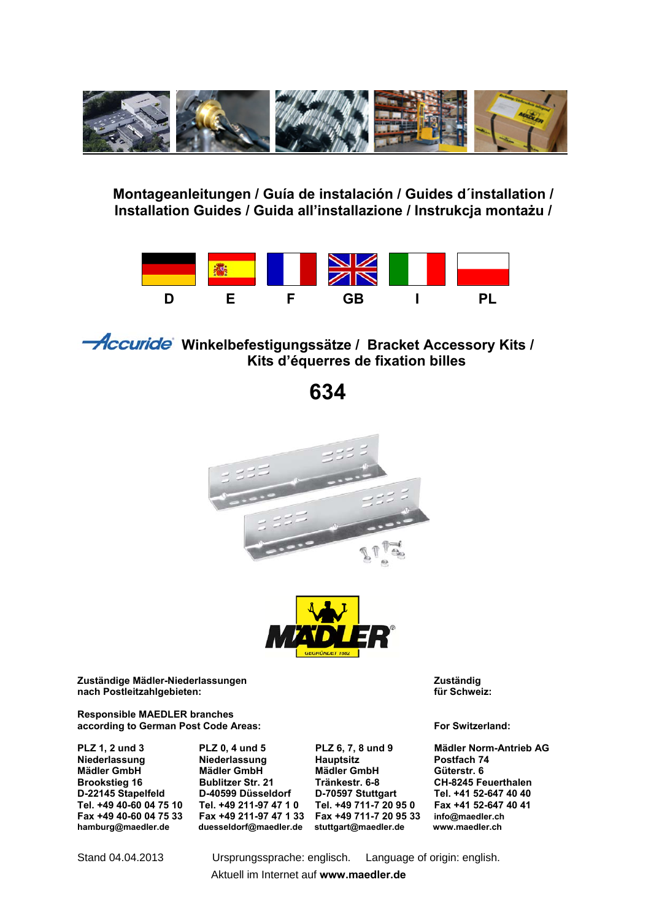

### **Montageanleitungen / Guía de instalación / Guides d´installation / Installation Guides / Guida all'installazione / Instrukcja montażu /**



**Historic Steam** Winkelbefestigungssätze / Bracket Accessory Kits /  **Kits d'équerres de fixation billes**

 **634** 





**Zuständige Mädler-Niederlassungen Zuständig**   $nach Postleitzahlgebieten:$ 

**Responsible MAEDLER branches according to German Post Code Areas: For Switzerland:** 

**Niederlassung Niederlassung Hauptsitz Postfach 74 Mädler GmbH Mädler GmbH Mädler GmbH Mädler GmbH Brookstieg 16 CMB Bublitzer Str. 21 CMB Tränkestr. 6-8 Brookstieg 16 Bublitzer Str. 21 Tränkestr. 6-8 CH-8245 Feuerthalen D-22145 Stapelfeld D-40599 Düsseldorf D-70597 Stuttgart Tel. +41 52-647 40 40**  Tel. +49 40-60 04 75 10 Tel. +49 211-97 47 1 0 Tel. +49 711-7 20 95 0<br>Fax +49 40-60 04 75 33 Fax +49 211-97 47 1 33 Fax +49 711-7 20 95 33 **hamburg@maedler.de duesseldorf@maedler.de stuttgart@maedler.de www.maedler.ch** 

**Fax +49 40-60 04 75 33 Fax +49 211-97 47 1 33 Fax +49 711-7 20 95 33 info@maedler.ch**

**PLZ 1, 2 und 3 PLZ 0, 4 und 5 PLZ 6, 7, 8 und 9 Mädler Norm-Antrieb AG** 

Stand 04.04.2013 Ursprungssprache: englisch. Language of origin: english.

Aktuell im Internet auf **www.maedler.de**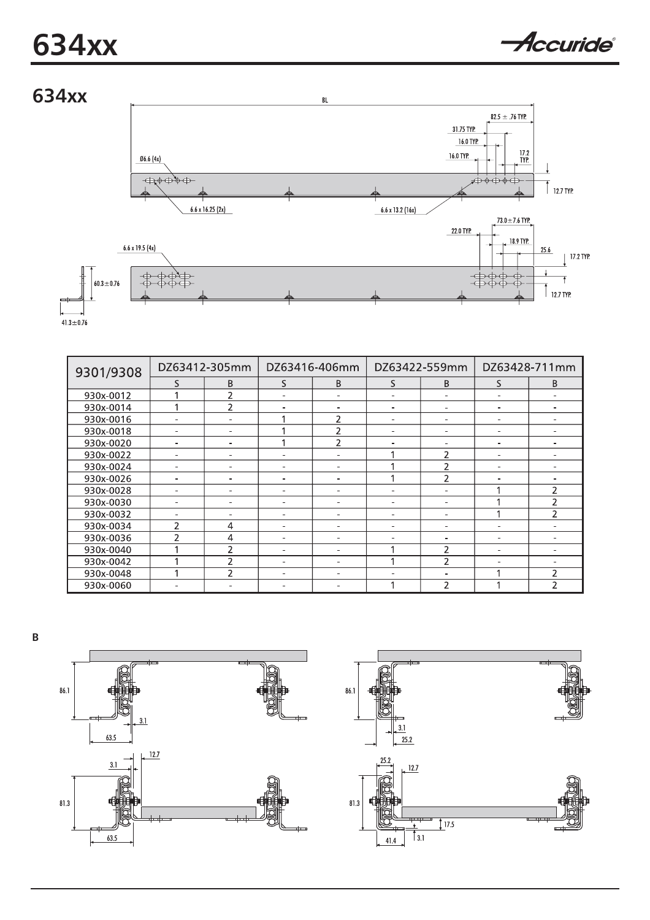# **634xx**





| 9301/9308 | DZ63412-305mm            |                | DZ63416-406mm            |                          | DZ63422-559mm |                | DZ63428-711mm                |                |
|-----------|--------------------------|----------------|--------------------------|--------------------------|---------------|----------------|------------------------------|----------------|
|           | S                        | B              | S                        | B                        | S             | B              | S                            | B              |
| 930x-0012 |                          |                |                          |                          |               | -              |                              |                |
| 930x-0014 |                          | $\overline{2}$ |                          |                          |               |                | -                            |                |
| 930x-0016 |                          |                |                          |                          |               |                |                              |                |
| 930x-0018 |                          |                |                          | $\overline{2}$           |               |                |                              |                |
| 930x-0020 |                          |                |                          | っ                        |               |                | ۰                            |                |
| 930x-0022 |                          |                |                          |                          |               | 2              | -                            |                |
| 930x-0024 |                          |                | $\overline{\phantom{0}}$ | ۰                        |               | $\overline{c}$ | $\overline{\phantom{0}}$     |                |
| 930x-0026 | -                        |                | $\overline{\phantom{0}}$ | $\overline{\phantom{0}}$ |               | $\mathcal{P}$  | $\qquad \qquad \blacksquare$ |                |
| 930x-0028 | $\overline{\phantom{0}}$ |                | $\overline{\phantom{0}}$ | $\overline{\phantom{0}}$ |               | ۰              |                              | $\mathcal{P}$  |
| 930x-0030 |                          |                |                          |                          |               |                |                              | 2              |
| 930x-0032 |                          |                |                          | ÷                        |               |                |                              | $\mathcal{P}$  |
| 930x-0034 | 2                        | $\overline{4}$ | -                        | $\overline{\phantom{0}}$ |               |                |                              |                |
| 930x-0036 | $\overline{\phantom{a}}$ | $\overline{4}$ | -                        |                          |               |                |                              |                |
| 930x-0040 |                          | $\mathcal{P}$  |                          |                          |               | 2              |                              |                |
| 930x-0042 |                          | 2              | $\overline{\phantom{0}}$ | ÷                        |               | 2              | -                            |                |
| 930x-0048 |                          | $\mathcal{P}$  | $\overline{\phantom{0}}$ | $\overline{\phantom{0}}$ |               | -              |                              | $\overline{2}$ |
| 930x-0060 |                          |                |                          |                          |               | $\overline{2}$ |                              | $\mathcal{P}$  |





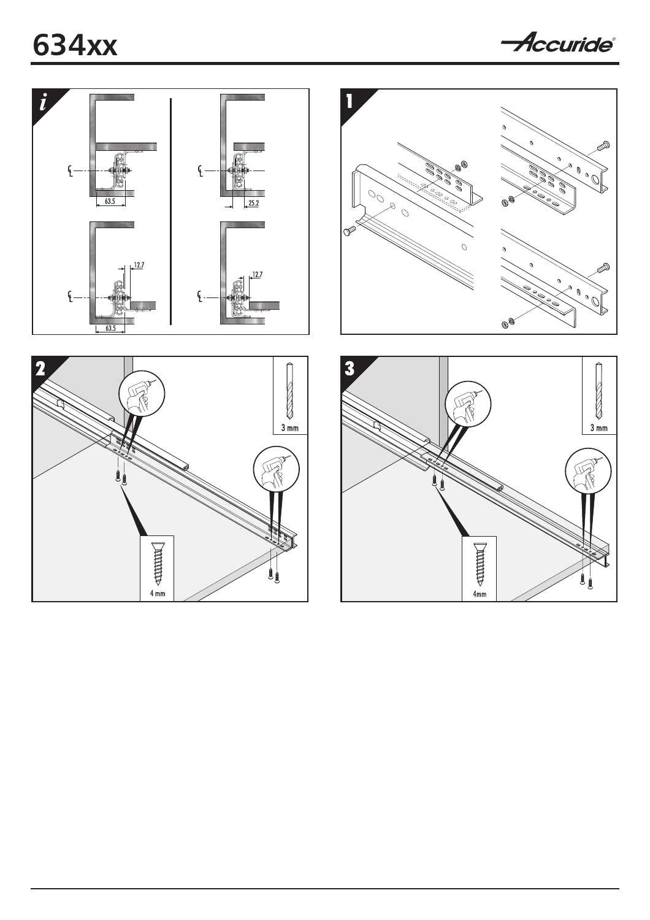

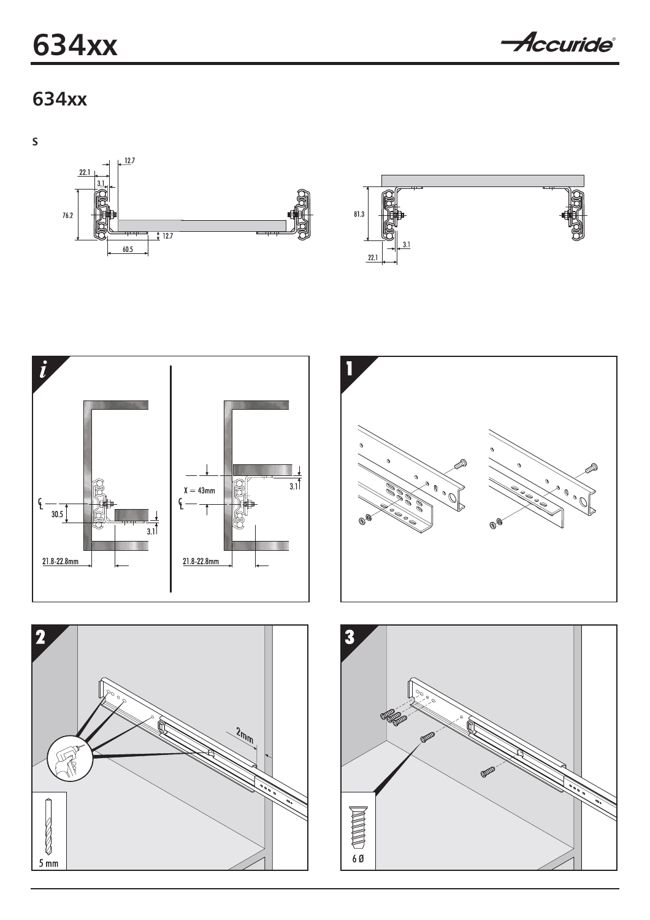# **634xx**

Accuride®

### 634xx

 $\mathsf{s}$